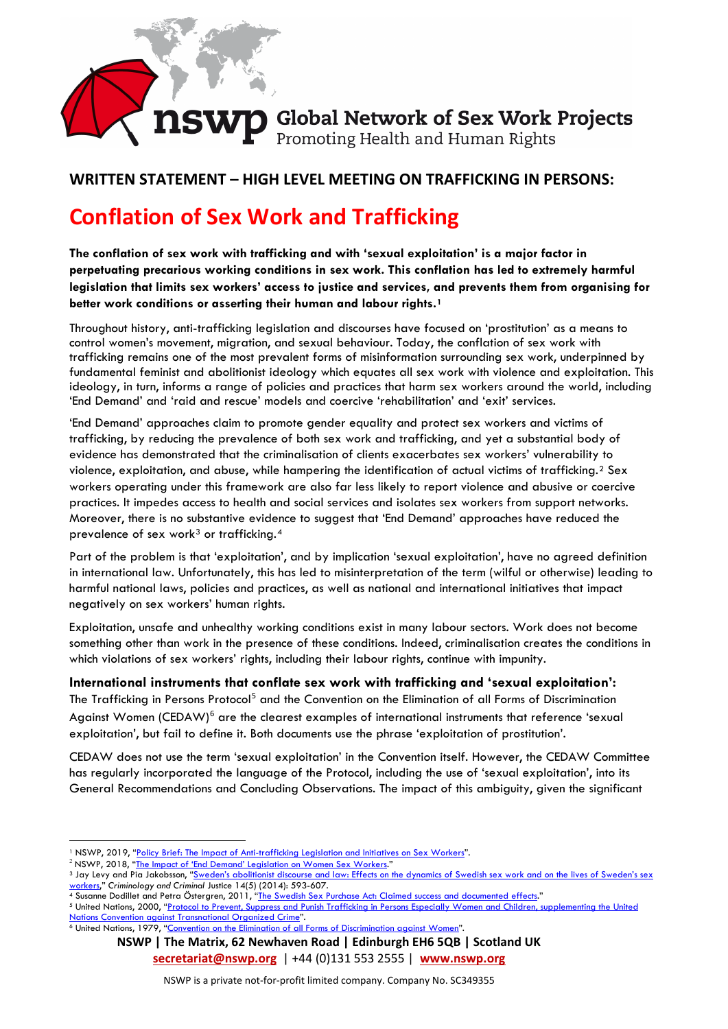# **nswp Global Network of Sex Work Projects**<br>Promoting Health and Human Rights

### **WRITTEN STATEMENT – HIGH LEVEL MEETING ON TRAFFICKING IN PERSONS:**

## **Conflation of Sex Work and Trafficking**

**The conflation of sex work with trafficking and with 'sexual exploitation' is a major factor in perpetuating precarious working conditions in sex work. This conflation has led to extremely harmful legislation that limits sex workers' access to justice and services, and prevents them from organising for better work conditions or asserting their human and labour rights.[1](#page-0-0)**

Throughout history, anti-trafficking legislation and discourses have focused on 'prostitution' as a means to control women's movement, migration, and sexual behaviour. Today, the conflation of sex work with trafficking remains one of the most prevalent forms of misinformation surrounding sex work, underpinned by fundamental feminist and abolitionist ideology which equates all sex work with violence and exploitation. This ideology, in turn, informs a range of policies and practices that harm sex workers around the world, including 'End Demand' and 'raid and rescue' models and coercive 'rehabilitation' and 'exit' services.

'End Demand' approaches claim to promote gender equality and protect sex workers and victims of trafficking, by reducing the prevalence of both sex work and trafficking, and yet a substantial body of evidence has demonstrated that the criminalisation of clients exacerbates sex workers' vulnerability to violence, exploitation, and abuse, while hampering the identification of actual victims of trafficking.[2](#page-0-1) Sex workers operating under this framework are also far less likely to report violence and abusive or coercive practices. It impedes access to health and social services and isolates sex workers from support networks. Moreover, there is no substantive evidence to suggest that 'End Demand' approaches have reduced the prevalence of sex work<sup>[3](#page-0-2)</sup> or trafficking.<sup>[4](#page-0-3)</sup>

Part of the problem is that 'exploitation', and by implication 'sexual exploitation', have no agreed definition in international law. Unfortunately, this has led to misinterpretation of the term (wilful or otherwise) leading to harmful national laws, policies and practices, as well as national and international initiatives that impact negatively on sex workers' human rights.

Exploitation, unsafe and unhealthy working conditions exist in many labour sectors. Work does not become something other than work in the presence of these conditions. Indeed, criminalisation creates the conditions in which violations of sex workers' rights, including their labour rights, continue with impunity.

#### **International instruments that conflate sex work with trafficking and 'sexual exploitation':**

The Trafficking in Persons Protocol<sup>[5](#page-0-4)</sup> and the Convention on the Elimination of all Forms of Discrimination Against Women (CEDAW)<sup>[6](#page-0-5)</sup> are the clearest examples of international instruments that reference 'sexual exploitation', but fail to define it. Both documents use the phrase 'exploitation of prostitution'.

CEDAW does not use the term 'sexual exploitation' in the Convention itself. However, the CEDAW Committee has regularly incorporated the language of the Protocol, including the use of 'sexual exploitation', into its General Recommendations and Concluding Observations. The impact of this ambiguity, given the significant

<span id="page-0-4"></span><span id="page-0-3"></span><sup>5</sup> United Nations, 2000, ["Protocol to Prevent, Suppress and Punish Trafficking in Persons Especially Women and Children, supplementing the](https://www.ohchr.org/en/professionalinterest/pages/protocoltraffickinginpersons.aspx) United [Nations Convention against Transnational Organized Crime"](https://www.ohchr.org/en/professionalinterest/pages/protocoltraffickinginpersons.aspx).

<span id="page-0-5"></span><sup>6</sup> United Nations, 1979, ["Convention on the Elimination of all Forms of Discrimination against Women"](https://www.ohchr.org/EN/ProfessionalInterest/Pages/CEDAW.aspx).

**NSWP | The Matrix, 62 Newhaven Road | Edinburgh EH6 5QB | Scotland UK [secretariat@nswp.org](mailto:ruth.morganthomas@nswp.org)** | +44 (0)131 553 2555 | **[www.nswp.org](http://www.nswp.org/)**

<span id="page-0-0"></span><sup>&</sup>lt;sup>1</sup> NSWP, 2019, ["Policy Brief: The Impact of Anti-trafficking Legislation and Initiatives on Sex Workers"](https://www.nswp.org/resource/policy-brief-the-impact-anti-trafficking-legislation-and-initiatives-sex-workers).

<span id="page-0-1"></span><sup>&</sup>lt;sup>2</sup> NSWP, 2018, ["The Impact of 'End Demand' Legislation on Women Sex Workers."](https://www.nswp.org/resource/policy-brief-the-impact-end-demand-legislation-women-sex-workers)

<span id="page-0-2"></span><sup>3</sup> Jay Levy and Pia Jakobsson, "Sweden's abolitionist discourse and law: Effects on the dynamics of Swedish sex work and on the lives of Sweden's sex workers," *Criminology and Criminal* Justice 14(5) (2014): 593-607. 4 Susanne Dodillet and Petra Östergren, 2011, ["The Swedish Sex Purchase Act: Claimed success and documented effects."](https://gup.ub.gu.se/file/56243)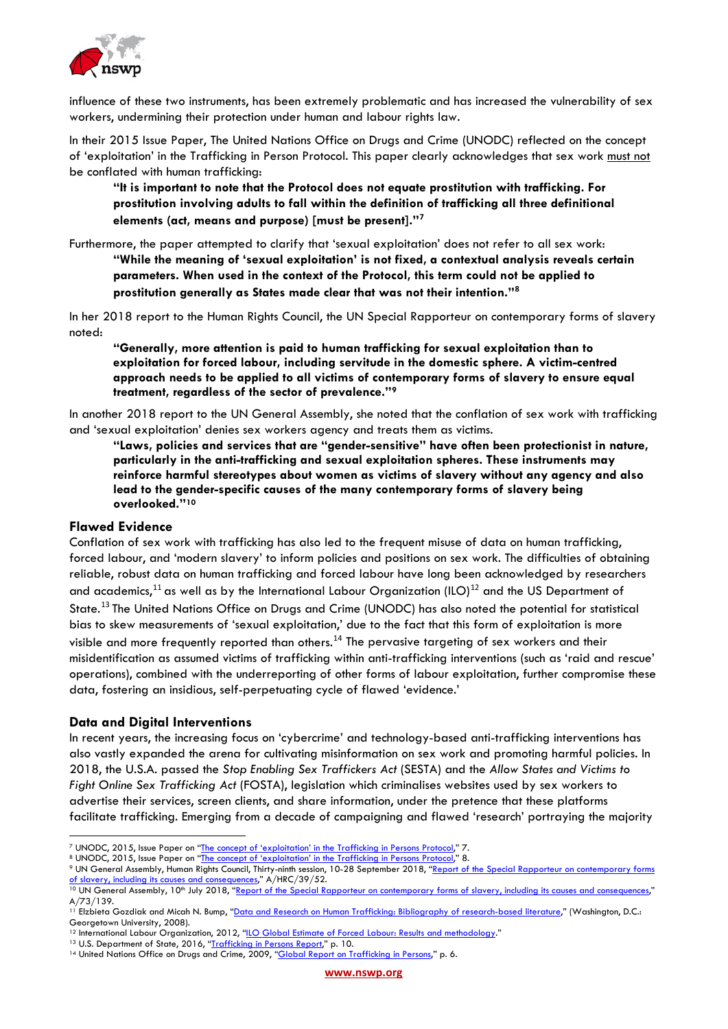

influence of these two instruments, has been extremely problematic and has increased the vulnerability of sex workers, undermining their protection under human and labour rights law.

In their 2015 Issue Paper, The United Nations Office on Drugs and Crime (UNODC) reflected on the concept of 'exploitation' in the Trafficking in Person Protocol. This paper clearly acknowledges that sex work must not be conflated with human trafficking:

**"It is important to note that the Protocol does not equate prostitution with trafficking. For prostitution involving adults to fall within the definition of trafficking all three definitional elements (act, means and purpose) [must be present]."[7](#page-1-0)**

Furthermore, the paper attempted to clarify that 'sexual exploitation' does not refer to all sex work: **"While the meaning of 'sexual exploitation' is not fixed, a contextual analysis reveals certain parameters. When used in the context of the Protocol, this term could not be applied to prostitution generally as States made clear that was not their intention."[8](#page-1-1)**

In her 2018 report to the Human Rights Council, the UN Special Rapporteur on contemporary forms of slavery noted:

**"Generally, more attention is paid to human trafficking for sexual exploitation than to exploitation for forced labour, including servitude in the domestic sphere. A victim-centred approach needs to be applied to all victims of contemporary forms of slavery to ensure equal treatment, regardless of the sector of prevalence."[9](#page-1-2)**

In another 2018 report to the UN General Assembly, she noted that the conflation of sex work with trafficking and 'sexual exploitation' denies sex workers agency and treats them as victims.

**"Laws, policies and services that are "gender-sensitive" have often been protectionist in nature, particularly in the anti-trafficking and sexual exploitation spheres. These instruments may reinforce harmful stereotypes about women as victims of slavery without any agency and also lead to the gender-specific causes of the many contemporary forms of slavery being overlooked."[10](#page-1-3)**

#### **Flawed Evidence**

Conflation of sex work with trafficking has also led to the frequent misuse of data on human trafficking, forced labour, and 'modern slavery' to inform policies and positions on sex work. The difficulties of obtaining reliable, robust data on human trafficking and forced labour have long been acknowledged by researchers and academics,<sup>[11](#page-1-4)</sup> as well as by the International Labour Organization (ILO)<sup>[12](#page-1-5)</sup> and the US Department of State.[13](#page-1-6) The United Nations Office on Drugs and Crime (UNODC) has also noted the potential for statistical bias to skew measurements of 'sexual exploitation,' due to the fact that this form of exploitation is more visible and more frequently reported than others.[14](#page-1-7) The pervasive targeting of sex workers and their misidentification as assumed victims of trafficking within anti-trafficking interventions (such as 'raid and rescue' operations), combined with the underreporting of other forms of labour exploitation, further compromise these data, fostering an insidious, self-perpetuating cycle of flawed 'evidence.'

#### **Data and Digital Interventions**

In recent years, the increasing focus on 'cybercrime' and technology-based anti-trafficking interventions has also vastly expanded the arena for cultivating misinformation on sex work and promoting harmful policies. In 2018, the U.S.A. passed the *Stop Enabling Sex Traffickers Act* (SESTA) and the *Allow States and Victims to Fight Online Sex Trafficking Act* (FOSTA), legislation which criminalises websites used by sex workers to advertise their services, screen clients, and share information, under the pretence that these platforms facilitate trafficking. Emerging from a decade of campaigning and flawed 'research' portraying the majority

<span id="page-1-0"></span><sup>7</sup> UNODC, 2015, Issue Paper on ["The concept of 'exploitation' in the Trafficking in Persons Protocol,"](https://www.unodc.org/documents/human-trafficking/2015/UNODC_IP_Exploitation_2015.pdf) 7.

<span id="page-1-1"></span><sup>8</sup> UNODC, 2015, Issue Paper on ["The concept of 'exploitation' in the Trafficking in Persons Protocol,"](https://www.unodc.org/documents/human-trafficking/2015/UNODC_IP_Exploitation_2015.pdf) 8.

<span id="page-1-2"></span><sup>9</sup> UN General Assembly, Human Rights Council, Thirty-ninth session, 10-28 September 2018, ["Report of the Special Rapporteur on contemporary forms](http://ap.ohchr.org/documents/dpage_e.aspx?si=A/HRC/39/52) of slavery, including its causes and consequences," A/HRC/39/52.

<span id="page-1-3"></span>[of slavery, including its causes and consequences,"](http://ap.ohchr.org/documents/dpage_e.aspx?si=A/HRC/39/52)  $\frac{1}{2}$ ,  $\frac{1}{2}$ ,  $\frac{1}{2}$ ,  $\frac{1}{2}$ ,  $\frac{1}{2}$ ,  $\frac{1}{2}$ ,  $\frac{1}{2}$ ,  $\frac{1}{2}$ ,  $\frac{1}{2}$ ,  $\frac{1}{2}$ ,  $\frac{1}{2}$ ,  $\frac{1}{2}$ ,  $\frac{1}{2}$ ,  $\frac{1}{2}$ ,  $\frac{1}{2}$ ,  $\frac{1$ A/73/139.

<span id="page-1-4"></span><sup>&</sup>lt;sup>11</sup> Elzbieta Gozdiak and Micah N. Bump, "<u>Data and Research on Human Trafficking: Bibliography of research-based literature</u>," (Washington, D.C.: Georgetown University, 2008).<br><sup>12</sup> International Labour Organization, 2012, "<u>ILO Global Estimate of Forced Labour: Results and methodology.</u>"<br><sup>13</sup> U.S. Department of State, 2016, "<u>Trafficking in Persons Report</u>," p. 10.

<span id="page-1-5"></span>

<span id="page-1-6"></span>

<span id="page-1-7"></span><sup>&</sup>lt;sup>14</sup> United Nations Office on Drugs and Crime, 2009, ["Global Report on Trafficking in Persons,"](https://www.unodc.org/unodc/en/human-trafficking/global-report-on-trafficking-in-persons.html) p. 6.